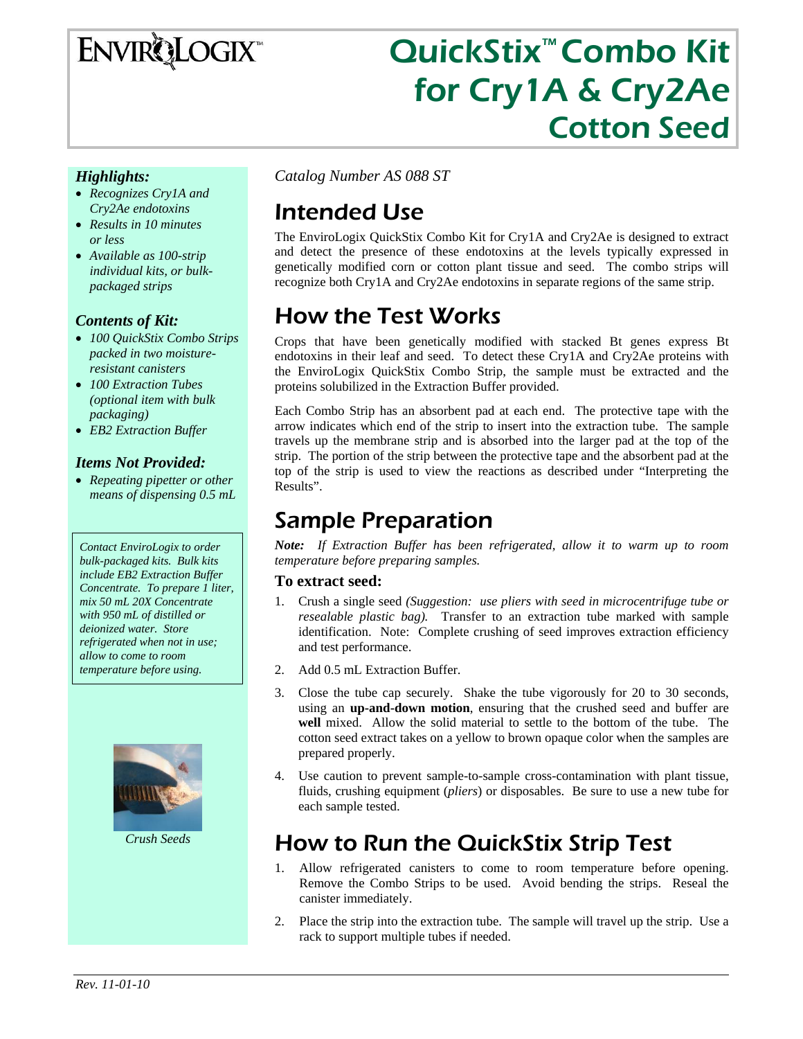# ENVIRQLOGIX

# QuickStix™ Combo Kit for Cry1A & Cry2Ae Cotton Seed

#### *Highlights:*

- *Recognizes Cry1A and Cry2Ae endotoxins*
- *Results in 10 minutes or less*
- *Available as 100-strip individual kits, or bulkpackaged strips*

#### *Contents of Kit:*

- *100 QuickStix Combo Strips packed in two moistureresistant canisters*
- *100 Extraction Tubes (optional item with bulk packaging)*
- *EB2 Extraction Buffer*

#### *Items Not Provided:*

• *Repeating pipetter or other means of dispensing 0.5 mL* 

*Contact EnviroLogix to order bulk-packaged kits. Bulk kits include EB2 Extraction Buffer Concentrate. To prepare 1 liter, mix 50 mL 20X Concentrate with 950 mL of distilled or deionized water. Store refrigerated when not in use; allow to come to room temperature before using.* 



*Crush Seeds* 

*Catalog Number AS 088 ST* 

# Intended Use

The EnviroLogix QuickStix Combo Kit for Cry1A and Cry2Ae is designed to extract and detect the presence of these endotoxins at the levels typically expressed in genetically modified corn or cotton plant tissue and seed. The combo strips will recognize both Cry1A and Cry2Ae endotoxins in separate regions of the same strip.

# How the Test Works

Crops that have been genetically modified with stacked Bt genes express Bt endotoxins in their leaf and seed. To detect these Cry1A and Cry2Ae proteins with the EnviroLogix QuickStix Combo Strip, the sample must be extracted and the proteins solubilized in the Extraction Buffer provided.

Each Combo Strip has an absorbent pad at each end. The protective tape with the arrow indicates which end of the strip to insert into the extraction tube. The sample travels up the membrane strip and is absorbed into the larger pad at the top of the strip. The portion of the strip between the protective tape and the absorbent pad at the top of the strip is used to view the reactions as described under "Interpreting the Results".

### Sample Preparation

*Note: If Extraction Buffer has been refrigerated, allow it to warm up to room temperature before preparing samples.* 

#### **To extract seed:**

- 1. Crush a single seed *(Suggestion: use pliers with seed in microcentrifuge tube or resealable plastic bag).* Transfer to an extraction tube marked with sample identification. Note: Complete crushing of seed improves extraction efficiency and test performance.
- 2. Add 0.5 mL Extraction Buffer.
- 3. Close the tube cap securely. Shake the tube vigorously for 20 to 30 seconds, using an **up-and-down motion**, ensuring that the crushed seed and buffer are **well** mixed. Allow the solid material to settle to the bottom of the tube. The cotton seed extract takes on a yellow to brown opaque color when the samples are prepared properly.
- 4. Use caution to prevent sample-to-sample cross-contamination with plant tissue, fluids, crushing equipment (*pliers*) or disposables. Be sure to use a new tube for each sample tested.

# How to Run the QuickStix Strip Test

- 1. Allow refrigerated canisters to come to room temperature before opening. Remove the Combo Strips to be used. Avoid bending the strips. Reseal the canister immediately.
- 2. Place the strip into the extraction tube. The sample will travel up the strip. Use a rack to support multiple tubes if needed.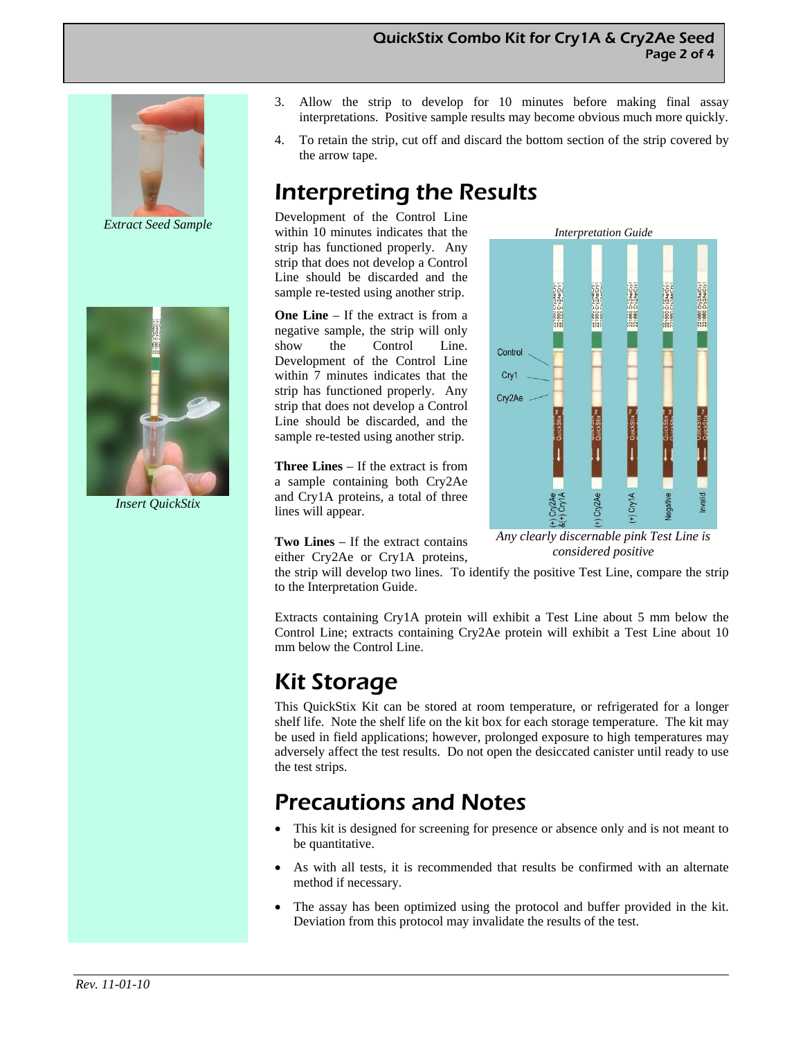#### QuickStix Combo Kit for Cry1A & Cry2Ae Seed Page 2 of 4



*Extract Seed Sample* 



*Insert QuickStix* 

- 3. Allow the strip to develop for 10 minutes before making final assay interpretations. Positive sample results may become obvious much more quickly.
- 4. To retain the strip, cut off and discard the bottom section of the strip covered by the arrow tape.

# Interpreting the Results

Development of the Control Line within 10 minutes indicates that the strip has functioned properly. Any strip that does not develop a Control Line should be discarded and the sample re-tested using another strip.

**One Line** – If the extract is from a negative sample, the strip will only show the Control Line. Development of the Control Line within 7 minutes indicates that the strip has functioned properly. Any strip that does not develop a Control Line should be discarded, and the sample re-tested using another strip.

**Three Lines** – If the extract is from a sample containing both Cry2Ae and Cry1A proteins, a total of three lines will appear.



**Two Lines** – If the extract contains either Cry2Ae or Cry1A proteins,

*Any clearly discernable pink Test Line is considered positive* 

the strip will develop two lines. To identify the positive Test Line, compare the strip to the Interpretation Guide.

Extracts containing Cry1A protein will exhibit a Test Line about 5 mm below the Control Line; extracts containing Cry2Ae protein will exhibit a Test Line about 10 mm below the Control Line.

# Kit Storage

This QuickStix Kit can be stored at room temperature, or refrigerated for a longer shelf life. Note the shelf life on the kit box for each storage temperature. The kit may be used in field applications; however, prolonged exposure to high temperatures may adversely affect the test results. Do not open the desiccated canister until ready to use the test strips.

# Precautions and Notes

- This kit is designed for screening for presence or absence only and is not meant to be quantitative.
- As with all tests, it is recommended that results be confirmed with an alternate method if necessary.
- The assay has been optimized using the protocol and buffer provided in the kit. Deviation from this protocol may invalidate the results of the test.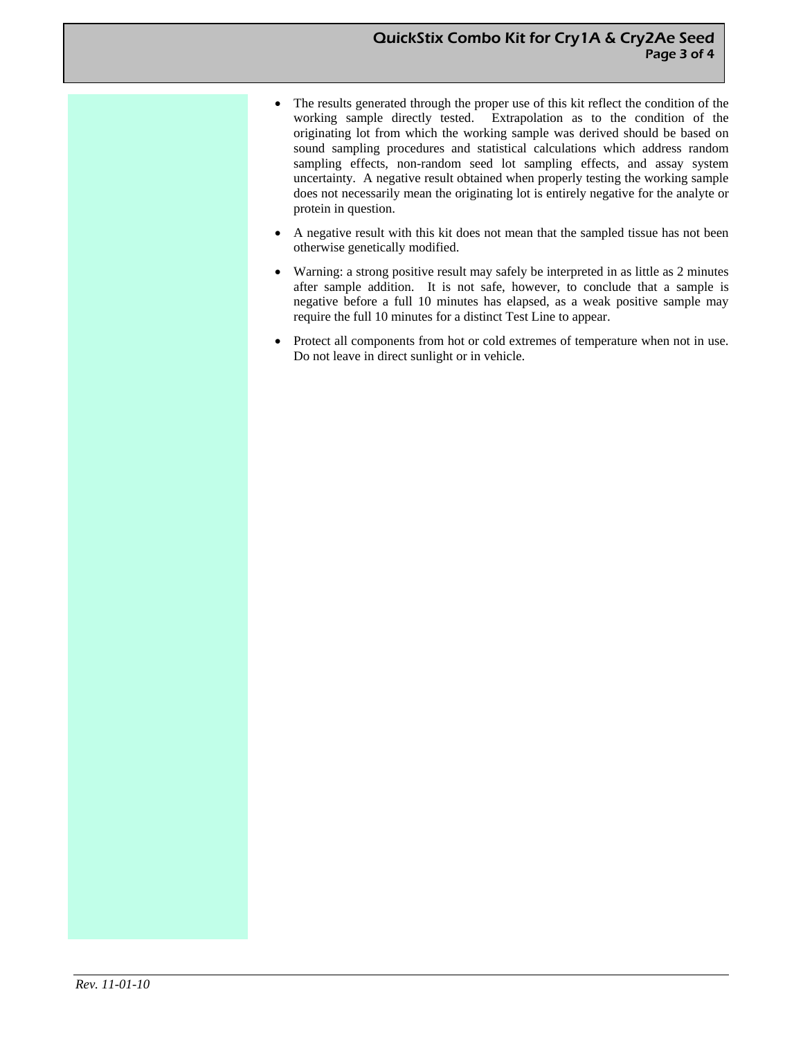- The results generated through the proper use of this kit reflect the condition of the working sample directly tested. Extrapolation as to the condition of the originating lot from which the working sample was derived should be based on sound sampling procedures and statistical calculations which address random sampling effects, non-random seed lot sampling effects, and assay system uncertainty. A negative result obtained when properly testing the working sample does not necessarily mean the originating lot is entirely negative for the analyte or protein in question.
- A negative result with this kit does not mean that the sampled tissue has not been otherwise genetically modified.
- Warning: a strong positive result may safely be interpreted in as little as 2 minutes after sample addition. It is not safe, however, to conclude that a sample is negative before a full 10 minutes has elapsed, as a weak positive sample may require the full 10 minutes for a distinct Test Line to appear.
- Protect all components from hot or cold extremes of temperature when not in use. Do not leave in direct sunlight or in vehicle.